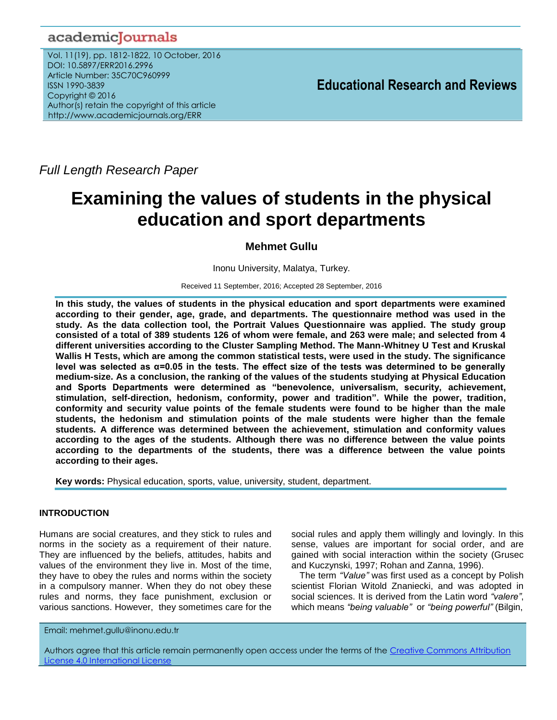## academicJournals

Vol. 11(19), pp. 1812-1822, 10 October, 2016 DOI: 10.5897/ERR2016.2996 Article Number: 35C70C960999 ISSN 1990-3839 Copyright © 2016 Author(s) retain the copyright of this article http://www.academicjournals.org/ERR

**Educational Research and Reviews**

*Full Length Research Paper*

# **Examining the values of students in the physical education and sport departments**

## **Mehmet Gullu**

Inonu University, Malatya, Turkey.

Received 11 September, 2016; Accepted 28 September, 2016

**In this study, the values of students in the physical education and sport departments were examined according to their gender, age, grade, and departments. The questionnaire method was used in the study. As the data collection tool, the Portrait Values Questionnaire was applied. The study group consisted of a total of 389 students 126 of whom were female, and 263 were male; and selected from 4 different universities according to the Cluster Sampling Method. The Mann-Whitney U Test and Kruskal Wallis H Tests, which are among the common statistical tests, were used in the study. The significance level was selected as α=0.05 in the tests. The effect size of the tests was determined to be generally medium-size. As a conclusion, the ranking of the values of the students studying at Physical Education and Sports Departments were determined as "benevolence, universalism, security, achievement, stimulation, self-direction, hedonism, conformity, power and tradition". While the power, tradition, conformity and security value points of the female students were found to be higher than the male students, the hedonism and stimulation points of the male students were higher than the female students. A difference was determined between the achievement, stimulation and conformity values according to the ages of the students. Although there was no difference between the value points according to the departments of the students, there was a difference between the value points according to their ages.**

**Key words:** Physical education, sports, value, university, student, department.

## **INTRODUCTION**

Humans are social creatures, and they stick to rules and norms in the society as a requirement of their nature. They are influenced by the beliefs, attitudes, habits and values of the environment they live in. Most of the time, they have to obey the rules and norms within the society in a compulsory manner. When they do not obey these rules and norms, they face punishment, exclusion or various sanctions. However, they sometimes care for the social rules and apply them willingly and lovingly. In this sense, values are important for social order, and are gained with social interaction within the society (Grusec and Kuczynski, 1997; Rohan and Zanna, 1996).

The term *"Value"* was first used as a concept by Polish scientist Florian Witold Znaniecki, and was adopted in social sciences. It is derived from the Latin word *"valere"*, which means *"being valuable"* or *"being powerful"* (Bilgin,

Email: mehmet.gullu@inonu.edu.tr

Authors agree that this article remain permanently open access under the terms of the Creative Commons Attribution [License 4.0 International License](file://192.168.1.24/reading/Arts%20and%20Education/ERR/2014/sept/read/Correction%20Pdf%201/ERR-17.04.14-1816/Publication/Creative%20Co)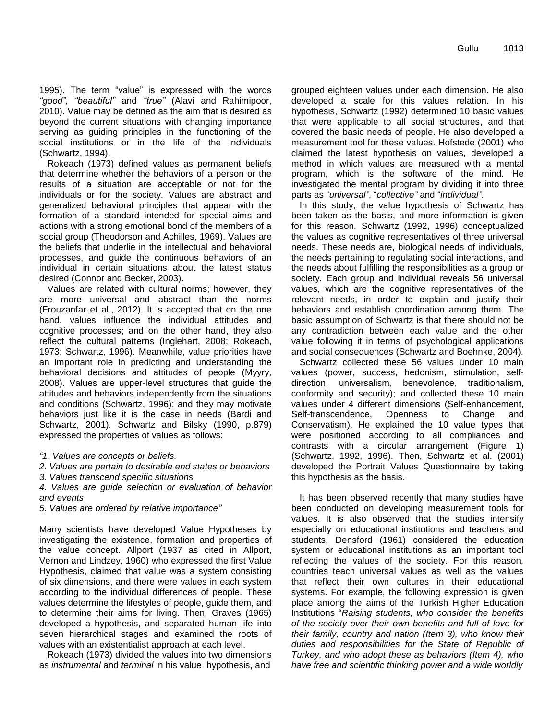1995). The term "value" is expressed with the words *"good", "beautiful"* and *"true"* (Alavi and Rahimipoor, 2010). Value may be defined as the aim that is desired as beyond the current situations with changing importance serving as guiding principles in the functioning of the social institutions or in the life of the individuals (Schwartz, 1994).

Rokeach (1973) defined values as permanent beliefs that determine whether the behaviors of a person or the results of a situation are acceptable or not for the individuals or for the society. Values are abstract and generalized behavioral principles that appear with the formation of a standard intended for special aims and actions with a strong emotional bond of the members of a social group (Theodorson and Achilles, 1969). Values are the beliefs that underlie in the intellectual and behavioral processes, and guide the continuous behaviors of an individual in certain situations about the latest status desired (Connor and Becker, 2003).

Values are related with cultural norms; however, they are more universal and abstract than the norms (Frouzanfar et al., 2012). It is accepted that on the one hand, values influence the individual attitudes and cognitive processes; and on the other hand, they also reflect the cultural patterns (Inglehart, 2008; Rokeach, 1973; Schwartz, 1996). Meanwhile, value priorities have an important role in predicting and understanding the behavioral decisions and attitudes of people (Myyry, 2008). Values are upper-level structures that guide the attitudes and behaviors independently from the situations and conditions (Schwartz, 1996); and they may motivate behaviors just like it is the case in needs (Bardi and Schwartz, 2001). Schwartz and Bilsky (1990, p.879) expressed the properties of values as follows:

- *"1. Values are concepts or beliefs.*
- *2. Values are pertain to desirable end states or behaviors*
- *3. Values transcend specific situations*

*4. Values are guide selection or evaluation of behavior and events*

*5. Values are ordered by relative importance"*

Many scientists have developed Value Hypotheses by investigating the existence, formation and properties of the value concept. Allport (1937 as cited in Allport, Vernon and Lindzey, 1960) who expressed the first Value Hypothesis, claimed that value was a system consisting of six dimensions, and there were values in each system according to the individual differences of people. These values determine the lifestyles of people, guide them, and to determine their aims for living. Then, Graves (1965) developed a hypothesis, and separated human life into seven hierarchical stages and examined the roots of values with an existentialist approach at each level.

Rokeach (1973) divided the values into two dimensions as *instrumental* and *terminal* in his value hypothesis, and grouped eighteen values under each dimension. He also developed a scale for this values relation. In his hypothesis, Schwartz (1992) determined 10 basic values that were applicable to all social structures, and that covered the basic needs of people. He also developed a measurement tool for these values. Hofstede (2001) who claimed the latest hypothesis on values, developed a method in which values are measured with a mental program, which is the software of the mind. He investigated the mental program by dividing it into three parts as "*universal"*, "*collective"* and "*individual"*.

In this study, the value hypothesis of Schwartz has been taken as the basis, and more information is given for this reason. Schwartz (1992, 1996) conceptualized the values as cognitive representatives of three universal needs. These needs are, biological needs of individuals, the needs pertaining to regulating social interactions, and the needs about fulfilling the responsibilities as a group or society. Each group and individual reveals 56 universal values, which are the cognitive representatives of the relevant needs, in order to explain and justify their behaviors and establish coordination among them. The basic assumption of Schwartz is that there should not be any contradiction between each value and the other value following it in terms of psychological applications and social consequences (Schwartz and Boehnke, 2004).

Schwartz collected these 56 values under 10 main values (power, success, hedonism, stimulation, selfdirection, universalism, benevolence, traditionalism, conformity and security); and collected these 10 main values under 4 different dimensions (Self-enhancement, Self-transcendence, Openness to Change and Conservatism). He explained the 10 value types that were positioned according to all compliances and contrasts with a circular arrangement (Figure 1) (Schwartz, 1992, 1996). Then, Schwartz et al. (2001) developed the Portrait Values Questionnaire by taking this hypothesis as the basis.

It has been observed recently that many studies have been conducted on developing measurement tools for values. It is also observed that the studies intensify especially on educational institutions and teachers and students. Densford (1961) considered the education system or educational institutions as an important tool reflecting the values of the society. For this reason, countries teach universal values as well as the values that reflect their own cultures in their educational systems. For example, the following expression is given place among the aims of the Turkish Higher Education Institutions "*Raising students, who consider the benefits of the society over their own benefits and full of love for their family, country and nation (Item 3), who know their duties and responsibilities for the State of Republic of Turkey, and who adopt these as behaviors (Item 4), who have free and scientific thinking power and a wide worldly*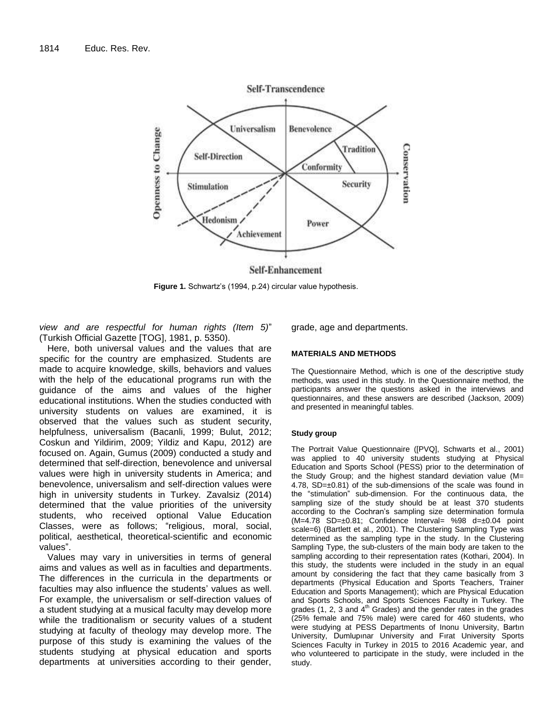

**Figure 1.** Schwartz's (1994, p.24) circular value hypothesis.

*view and are respectful for human rights (Item 5)*" (Turkish Official Gazette [TOG], 1981, p. 5350).

Here, both universal values and the values that are specific for the country are emphasized. Students are made to acquire knowledge, skills, behaviors and values with the help of the educational programs run with the guidance of the aims and values of the higher educational institutions. When the studies conducted with university students on values are examined, it is observed that the values such as student security, helpfulness, universalism (Bacanli, 1999; Bulut, 2012; Coskun and Yildirim, 2009; Yildiz and Kapu, 2012) are focused on. Again, Gumus (2009) conducted a study and determined that self-direction, benevolence and universal values were high in university students in America; and benevolence, universalism and self-direction values were high in university students in Turkey. Zavalsiz (2014) determined that the value priorities of the university students, who received optional Value Education Classes, were as follows; "religious, moral, social, political, aesthetical, theoretical-scientific and economic values".

Values may vary in universities in terms of general aims and values as well as in faculties and departments. The differences in the curricula in the departments or faculties may also influence the students' values as well. For example, the universalism or self-direction values of a student studying at a musical faculty may develop more while the traditionalism or security values of a student studying at faculty of theology may develop more. The purpose of this study is examining the values of the students studying at physical education and sports departments at universities according to their gender, grade, age and departments.

#### **MATERIALS AND METHODS**

The Questionnaire Method, which is one of the descriptive study methods, was used in this study. In the Questionnaire method, the participants answer the questions asked in the interviews and questionnaires, and these answers are described (Jackson, 2009) and presented in meaningful tables.

#### **Study group**

The Portrait Value Questionnaire ([PVQ], Schwarts et al., 2001) was applied to 40 university students studying at Physical Education and Sports School (PESS) prior to the determination of the Study Group; and the highest standard deviation value (M= 4.78, SD=±0.81) of the sub-dimensions of the scale was found in the "stimulation" sub-dimension. For the continuous data, the sampling size of the study should be at least 370 students according to the Cochran's sampling size determination formula (M=4.78 SD=±0.81; Confidence Interval= %98 d=±0.04 point scale=6) (Bartlett et al., 2001). The Clustering Sampling Type was determined as the sampling type in the study. In the Clustering Sampling Type, the sub-clusters of the main body are taken to the sampling according to their representation rates (Kothari, 2004). In this study, the students were included in the study in an equal amount by considering the fact that they came basically from 3 departments (Physical Education and Sports Teachers, Trainer Education and Sports Management); which are Physical Education and Sports Schools, and Sports Sciences Faculty in Turkey. The grades  $(1, 2, 3$  and  $4<sup>th</sup>$  Grades) and the gender rates in the grades (25% female and 75% male) were cared for 460 students, who were studying at PESS Departments of Inonu University, Bartın University, Dumlupınar University and Fırat University Sports Sciences Faculty in Turkey in 2015 to 2016 Academic year, and who volunteered to participate in the study, were included in the study.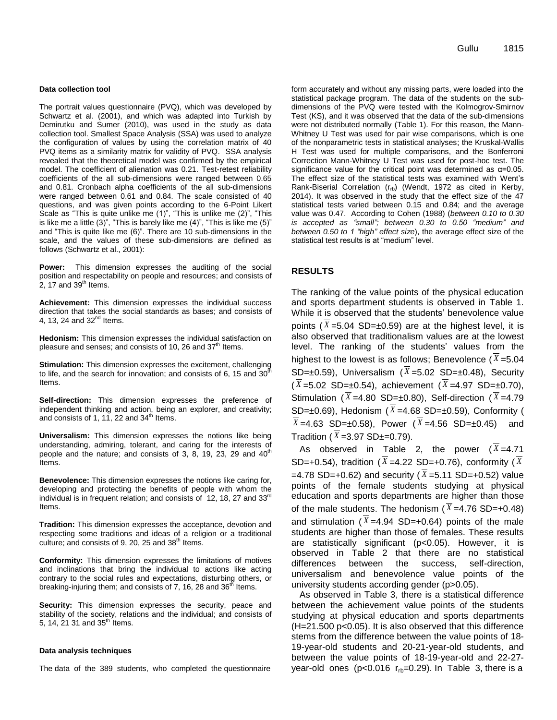#### **Data collection tool**

The portrait values questionnaire (PVQ), which was developed by Schwartz et al. (2001), and which was adapted into Turkish by Demirutku and Sumer (2010), was used in the study as data collection tool. Smallest Space Analysis (SSA) was used to analyze the configuration of values by using the correlation matrix of 40 PVQ items as a similarity matrix for validity of PVQ. SSA analysis revealed that the theoretical model was confirmed by the empirical model. The coefficient of alienation was 0.21. Test-retest reliability coefficients of the all sub-dimensions were ranged between 0.65 and 0.81. Cronbach alpha coefficients of the all sub-dimensions were ranged between 0.61 and 0.84. The scale consisted of 40 questions, and was given points according to the 6-Point Likert Scale as "This is quite unlike me (1)", "This is unlike me (2)", "This is like me a little (3)", "This is barely like me (4)", "This is like me (5)" and "This is quite like me (6)". There are 10 sub-dimensions in the scale, and the values of these sub-dimensions are defined as follows (Schwartz et al., 2001):

**Power:** This dimension expresses the auditing of the social position and respectability on people and resources; and consists of 2, 17 and  $39<sup>th</sup>$  Items.

**Achievement:** This dimension expresses the individual success direction that takes the social standards as bases; and consists of 4, 13, 24 and  $32<sup>nd</sup>$  Items.

**Hedonism:** This dimension expresses the individual satisfaction on pleasure and senses; and consists of 10, 26 and  $37<sup>th</sup>$  Items.

**Stimulation:** This dimension expresses the excitement, challenging to life, and the search for innovation; and consists of 6, 15 and  $30^{th}$ Items.

**Self-direction:** This dimension expresses the preference of independent thinking and action, being an explorer, and creativity; and consists of 1, 11, 22 and  $34<sup>th</sup>$  Items.

**Universalism:** This dimension expresses the notions like being understanding, admiring, tolerant, and caring for the interests of people and the nature; and consists of 3, 8, 19, 23, 29 and  $40<sup>th</sup>$ Items.

**Benevolence:** This dimension expresses the notions like caring for, developing and protecting the benefits of people with whom the individual is in frequent relation; and consists of  $12$ , 18, 27 and  $33<sup>rd</sup>$ Items.

**Tradition:** This dimension expresses the acceptance, devotion and respecting some traditions and ideas of a religion or a traditional culture; and consists of 9, 20, 25 and 38<sup>th</sup> Items.

**Conformity:** This dimension expresses the limitations of motives and inclinations that bring the individual to actions like acting contrary to the social rules and expectations, disturbing others, or breaking-injuring them; and consists of 7, 16, 28 and  $36<sup>th</sup>$  Items.

**Security:** This dimension expresses the security, peace and stability of the society, relations and the individual; and consists of 5, 14, 21 31 and  $35<sup>th</sup>$  Items.

#### **Data analysis techniques**

The data of the 389 students, who completed the questionnaire

form accurately and without any missing parts, were loaded into the statistical package program. The data of the students on the subdimensions of the PVQ were tested with the Kolmogrov-Smirnov Test (KS), and it was observed that the data of the sub-dimensions were not distributed normally (Table 1). For this reason, the Mann-Whitney U Test was used for pair wise comparisons, which is one of the nonparametric tests in statistical analyses; the Kruskal-Wallis H Test was used for multiple comparisons, and the Bonferroni Correction Mann-Whitney U Test was used for post-hoc test. The significance value for the critical point was determined as  $\alpha$ =0.05. The effect size of the statistical tests was examined with Went's Rank-Biserial Correlation  $(r_{rb})$  (Wendt, 1972 as cited in Kerby, 2014). It was observed in the study that the effect size of the 47 statistical tests varied between 0.15 and 0.84; and the average value was 0.47. According to Cohen (1988) (*between 0.10 to 0.30 is accepted as "small"; between 0.30 to 0.50 "medium" and between 0.50 to 1 "high" effect size*), the average effect size of the statistical test results is at "medium" level.

#### **RESULTS**

The ranking of the value points of the physical education and sports department students is observed in Table 1. While it is observed that the students' benevolence value points ( $X = 5.04$  SD= $\pm 0.59$ ) are at the highest level, it is also observed that traditionalism values are at the lowest level. The ranking of the students' values from the highest to the lowest is as follows; Benevolence  $(X=5.04)$ SD= $\pm$ 0.59), Universalism ( $X = 5.02$  SD= $\pm$ 0.48), Security  $(X=5.02$  SD= $\pm$ 0.54), achievement  $(X=4.97$  SD= $\pm$ 0.70), Stimulation ( $X = 4.80$  SD= $\pm 0.80$ ), Self-direction ( $X = 4.79$ SD= $\pm$ 0.69), Hedonism ( $X = 4.68$  SD= $\pm$ 0.59), Conformity (  $X = 4.63$  SD= $\pm$ 0.58), Power ( $X = 4.56$  SD= $\pm$ 0.45) and Tradition ( $X = 3.97$  SD $\pm = 0.79$ ).

As observed in Table 2, the power  $(X=4.71)$ SD=+0.54), tradition ( $X = 4.22$  SD=+0.76), conformity ( $X$  $=4.78$  SD=+0.62) and security (X = 5.11 SD=+0.52) value points of the female students studying at physical education and sports departments are higher than those of the male students. The hedonism  $(X=4.76$  SD=+0.48) and stimulation ( $X = 4.94$  SD=+0.64) points of the male students are higher than those of females. These results are statistically significant (p<0.05). However, it is observed in Table 2 that there are no statistical differences between the success, self-direction, universalism and benevolence value points of the university students according gender (p>0.05).

As observed in Table 3, there is a statistical difference between the achievement value points of the students studying at physical education and sports departments (H=21.500 p<0.05). It is also observed that this difference stems from the difference between the value points of 18- 19-year-old students and 20-21-year-old students, and between the value points of 18-19-year-old and 22-27 year-old ones ( $p<0.016$  r<sub>rb</sub>=0.29). In Table 3, there is a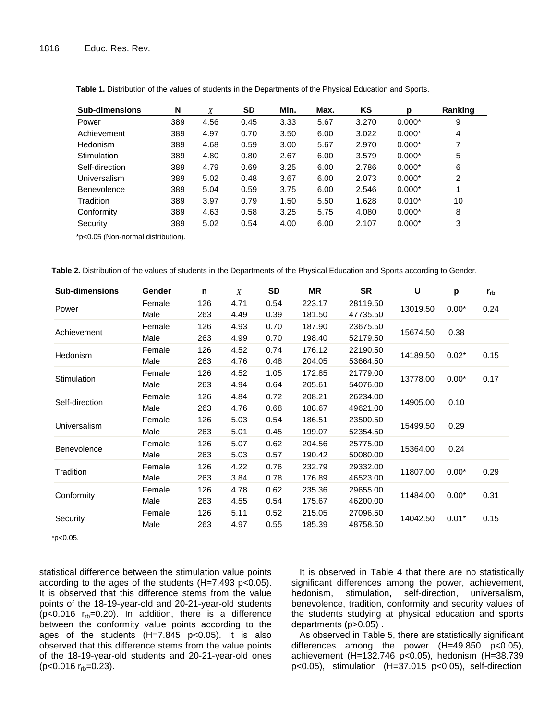| <b>Sub-dimensions</b> | N   | X    | SD   | Min. | Max. | <b>KS</b> | р        | Ranking |
|-----------------------|-----|------|------|------|------|-----------|----------|---------|
| Power                 | 389 | 4.56 | 0.45 | 3.33 | 5.67 | 3.270     | $0.000*$ | 9       |
| Achievement           | 389 | 4.97 | 0.70 | 3.50 | 6.00 | 3.022     | $0.000*$ | 4       |
| Hedonism              | 389 | 4.68 | 0.59 | 3.00 | 5.67 | 2.970     | $0.000*$ | 7       |
| Stimulation           | 389 | 4.80 | 0.80 | 2.67 | 6.00 | 3.579     | $0.000*$ | 5       |
| Self-direction        | 389 | 4.79 | 0.69 | 3.25 | 6.00 | 2.786     | $0.000*$ | 6       |
| Universalism          | 389 | 5.02 | 0.48 | 3.67 | 6.00 | 2.073     | $0.000*$ | 2       |
| <b>Benevolence</b>    | 389 | 5.04 | 0.59 | 3.75 | 6.00 | 2.546     | $0.000*$ | 1       |
| Tradition             | 389 | 3.97 | 0.79 | 1.50 | 5.50 | 1.628     | $0.010*$ | 10      |
| Conformity            | 389 | 4.63 | 0.58 | 3.25 | 5.75 | 4.080     | $0.000*$ | 8       |
| Security              | 389 | 5.02 | 0.54 | 4.00 | 6.00 | 2.107     | $0.000*$ | 3       |

**Table 1.** Distribution of the values of students in the Departments of the Physical Education and Sports.

\*p<0.05 (Non-normal distribution).

| Table 2. Distribution of the values of students in the Departments of the Physical Education and Sports according to Gender. |  |  |
|------------------------------------------------------------------------------------------------------------------------------|--|--|
|------------------------------------------------------------------------------------------------------------------------------|--|--|

| <b>Sub-dimensions</b> | Gender | n   | $\overline{X}$ | <b>SD</b> | <b>MR</b> | <b>SR</b> | U        | p       | $r_{rb}$ |
|-----------------------|--------|-----|----------------|-----------|-----------|-----------|----------|---------|----------|
| Power                 | Female | 126 | 4.71           | 0.54      | 223.17    | 28119.50  | 13019.50 | $0.00*$ | 0.24     |
|                       | Male   | 263 | 4.49           | 0.39      | 181.50    | 47735.50  |          |         |          |
| Achievement           | Female | 126 | 4.93           | 0.70      | 187.90    | 23675.50  | 15674.50 | 0.38    |          |
|                       | Male   | 263 | 4.99           | 0.70      | 198.40    | 52179.50  |          |         |          |
|                       | Female | 126 | 4.52           | 0.74      | 176.12    | 22190.50  |          | $0.02*$ |          |
| Hedonism              | Male   | 263 | 4.76           | 0.48      | 204.05    | 53664.50  | 14189.50 |         | 0.15     |
| Stimulation           | Female | 126 | 4.52           | 1.05      | 172.85    | 21779.00  | 13778.00 | $0.00*$ | 0.17     |
|                       | Male   | 263 | 4.94           | 0.64      | 205.61    | 54076.00  |          |         |          |
| Self-direction        | Female | 126 | 4.84           | 0.72      | 208.21    | 26234.00  | 14905.00 | 0.10    |          |
|                       | Male   | 263 | 4.76           | 0.68      | 188.67    | 49621.00  |          |         |          |
| Universalism          | Female | 126 | 5.03           | 0.54      | 186.51    | 23500.50  |          | 0.29    |          |
|                       | Male   | 263 | 5.01           | 0.45      | 199.07    | 52354.50  | 15499.50 |         |          |
| Benevolence           | Female | 126 | 5.07           | 0.62      | 204.56    | 25775.00  |          |         |          |
|                       | Male   | 263 | 5.03           | 0.57      | 190.42    | 50080.00  | 15364.00 | 0.24    |          |
|                       | Female | 126 | 4.22           | 0.76      | 232.79    | 29332.00  |          |         |          |
| Tradition             | Male   | 263 | 3.84           | 0.78      | 176.89    | 46523.00  | 11807.00 | $0.00*$ | 0.29     |
|                       | Female | 126 | 4.78           | 0.62      | 235.36    | 29655.00  |          |         |          |
| Conformity            | Male   | 263 | 4.55           | 0.54      | 175.67    | 46200.00  | 11484.00 | $0.00*$ | 0.31     |
|                       | Female | 126 | 5.11           | 0.52      | 215.05    | 27096.50  | 14042.50 | $0.01*$ | 0.15     |
| Security              | Male   | 263 | 4.97           | 0.55      | 185.39    | 48758.50  |          |         |          |

 $*p<0.05$ .

statistical difference between the stimulation value points according to the ages of the students (H=7.493 p<0.05). It is observed that this difference stems from the value points of the 18-19-year-old and 20-21-year-old students  $(p<0.016$  r<sub>rb</sub>=0.20). In addition, there is a difference between the conformity value points according to the ages of the students (H=7.845 p<0.05). It is also observed that this difference stems from the value points of the 18-19-year-old students and 20-21-year-old ones  $(p<0.016$   $r<sub>rb</sub>=0.23)$ .

It is observed in Table 4 that there are no statistically significant differences among the power, achievement, hedonism, stimulation, self-direction, universalism, benevolence, tradition, conformity and security values of the students studying at physical education and sports departments (p>0.05) .

As observed in Table 5, there are statistically significant differences among the power (H=49.850 p<0.05), achievement (H=132.746 p<0.05), hedonism (H=38.739 p<0.05), stimulation (H=37.015 p<0.05), self-direction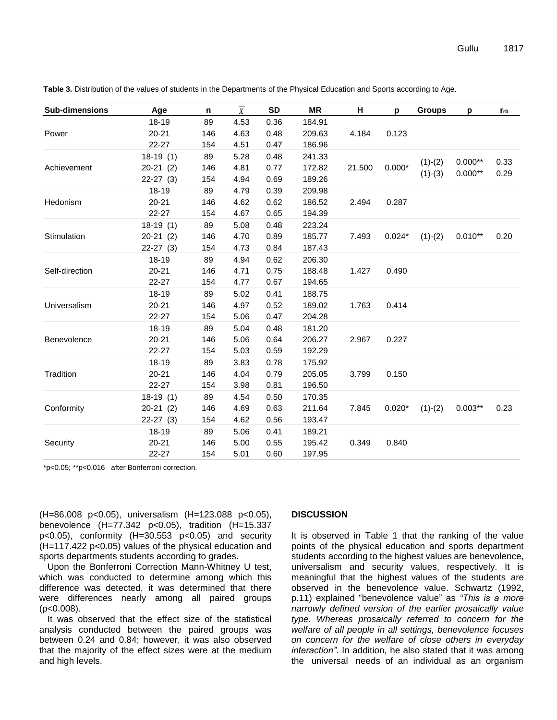| <b>Sub-dimensions</b> | Age        | n   | $\overline{X}$ | <b>SD</b> | <b>MR</b> | н      | p        | <b>Groups</b> | p         | $r_{rb}$ |
|-----------------------|------------|-----|----------------|-----------|-----------|--------|----------|---------------|-----------|----------|
|                       | 18-19      | 89  | 4.53           | 0.36      | 184.91    |        |          |               |           |          |
| Power                 | $20 - 21$  | 146 | 4.63           | 0.48      | 209.63    | 4.184  | 0.123    |               |           |          |
|                       | 22-27      | 154 | 4.51           | 0.47      | 186.96    |        |          |               |           |          |
|                       | $18-19(1)$ | 89  | 5.28           | 0.48      | 241.33    |        |          |               | $0.000**$ |          |
| Achievement           | $20-21(2)$ | 146 | 4.81           | 0.77      | 172.82    | 21.500 | $0.000*$ | $(1)-(2)$     | $0.000**$ | 0.33     |
|                       | $22-27(3)$ | 154 | 4.94           | 0.69      | 189.26    |        |          | $(1)-(3)$     |           | 0.29     |
|                       | 18-19      | 89  | 4.79           | 0.39      | 209.98    |        |          |               |           |          |
| Hedonism              | $20 - 21$  | 146 | 4.62           | 0.62      | 186.52    | 2.494  | 0.287    |               |           |          |
|                       | 22-27      | 154 | 4.67           | 0.65      | 194.39    |        |          |               |           |          |
|                       | $18-19(1)$ | 89  | 5.08           | 0.48      | 223.24    |        |          |               |           |          |
| Stimulation           | $20-21(2)$ | 146 | 4.70           | 0.89      | 185.77    | 7.493  | $0.024*$ | $(1)-(2)$     | $0.010**$ | 0.20     |
|                       | $22-27(3)$ | 154 | 4.73           | 0.84      | 187.43    |        |          |               |           |          |
|                       | $18 - 19$  | 89  | 4.94           | 0.62      | 206.30    |        |          |               |           |          |
| Self-direction        | $20 - 21$  | 146 | 4.71           | 0.75      | 188.48    | 1.427  | 0.490    |               |           |          |
|                       | 22-27      | 154 | 4.77           | 0.67      | 194.65    |        |          |               |           |          |
|                       | 18-19      | 89  | 5.02           | 0.41      | 188.75    |        |          |               |           |          |
| Universalism          | $20 - 21$  | 146 | 4.97           | 0.52      | 189.02    | 1.763  | 0.414    |               |           |          |
|                       | 22-27      | 154 | 5.06           | 0.47      | 204.28    |        |          |               |           |          |
|                       | 18-19      | 89  | 5.04           | 0.48      | 181.20    |        |          |               |           |          |
| Benevolence           | $20 - 21$  | 146 | 5.06           | 0.64      | 206.27    | 2.967  | 0.227    |               |           |          |
|                       | $22 - 27$  | 154 | 5.03           | 0.59      | 192.29    |        |          |               |           |          |
|                       | 18-19      | 89  | 3.83           | 0.78      | 175.92    |        |          |               |           |          |
| Tradition             | $20 - 21$  | 146 | 4.04           | 0.79      | 205.05    | 3.799  | 0.150    |               |           |          |
|                       | 22-27      | 154 | 3.98           | 0.81      | 196.50    |        |          |               |           |          |
|                       | $18-19(1)$ | 89  | 4.54           | 0.50      | 170.35    |        |          |               |           |          |
| Conformity            | $20-21(2)$ | 146 | 4.69           | 0.63      | 211.64    | 7.845  | $0.020*$ | $(1)-(2)$     | $0.003**$ | 0.23     |
|                       | $22-27(3)$ | 154 | 4.62           | 0.56      | 193.47    |        |          |               |           |          |
|                       | 18-19      | 89  | 5.06           | 0.41      | 189.21    |        |          |               |           |          |
| Security              | $20 - 21$  | 146 | 5.00           | 0.55      | 195.42    | 0.349  | 0.840    |               |           |          |
|                       | 22-27      | 154 | 5.01           | 0.60      | 197.95    |        |          |               |           |          |

**Table 3.** Distribution of the values of students in the Departments of the Physical Education and Sports according to Age.

\*p<0.05; \*\*p<0.016 after Bonferroni correction.

(H=86.008 p<0.05), universalism (H=123.088 p<0.05), benevolence (H=77.342 p<0.05), tradition (H=15.337 p<0.05), conformity (H=30.553 p<0.05) and security (H=117.422 p<0.05) values of the physical education and sports departments students according to grades.

Upon the Bonferroni Correction Mann-Whitney U test, which was conducted to determine among which this difference was detected, it was determined that there were differences nearly among all paired groups (p<0.008).

It was observed that the effect size of the statistical analysis conducted between the paired groups was between 0.24 and 0.84; however, it was also observed that the majority of the effect sizes were at the medium and high levels.

## **DISCUSSION**

It is observed in Table 1 that the ranking of the value points of the physical education and sports department students according to the highest values are benevolence, universalism and security values, respectively. It is meaningful that the highest values of the students are observed in the benevolence value. Schwartz (1992, p.11) explained "benevolence value" as *"This is a more narrowly defined version of the earlier prosaically value type. Whereas prosaically referred to concern for the welfare of all people in all settings, benevolence focuses on concern for the welfare of close others in everyday interaction"*. In addition, he also stated that it was among the universal needs of an individual as an organism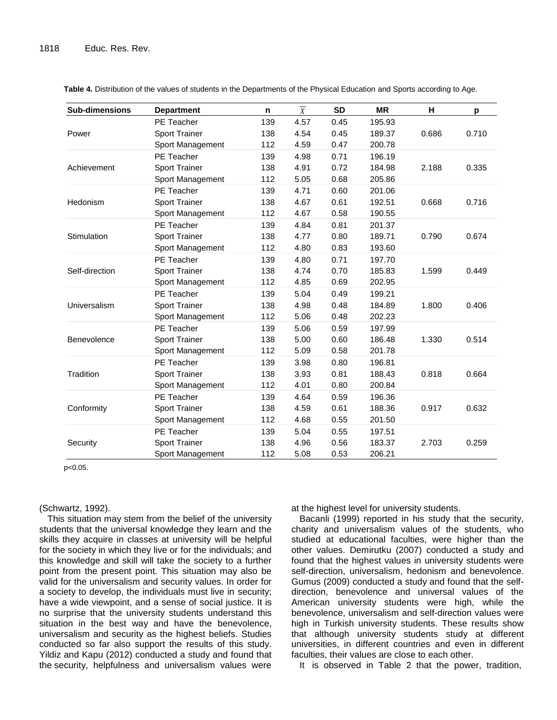| <b>Sub-dimensions</b> | <b>Department</b>    | n   | $\overline{X}$ | <b>SD</b> | <b>MR</b> | н     | p     |
|-----------------------|----------------------|-----|----------------|-----------|-----------|-------|-------|
|                       | PE Teacher           | 139 | 4.57           | 0.45      | 195.93    |       |       |
| Power                 | Sport Trainer        | 138 | 4.54           | 0.45      | 189.37    | 0.686 | 0.710 |
|                       | Sport Management     | 112 | 4.59           | 0.47      | 200.78    |       |       |
|                       | PE Teacher           | 139 | 4.98           | 0.71      | 196.19    |       |       |
| Achievement           | Sport Trainer        | 138 | 4.91           | 0.72      | 184.98    | 2.188 | 0.335 |
|                       | Sport Management     | 112 | 5.05           | 0.68      | 205.86    |       |       |
|                       | PE Teacher           | 139 | 4.71           | 0.60      | 201.06    |       |       |
| Hedonism              | <b>Sport Trainer</b> | 138 | 4.67           | 0.61      | 192.51    | 0.668 | 0.716 |
|                       | Sport Management     | 112 | 4.67           | 0.58      | 190.55    |       |       |
|                       | PE Teacher           | 139 | 4.84           | 0.81      | 201.37    |       |       |
| Stimulation           | Sport Trainer        | 138 | 4.77           | 0.80      | 189.71    | 0.790 | 0.674 |
|                       | Sport Management     | 112 | 4.80           | 0.83      | 193.60    |       |       |
|                       | PE Teacher           | 139 | 4.80           | 0.71      | 197.70    |       |       |
| Self-direction        | Sport Trainer        | 138 | 4.74           | 0.70      | 185.83    | 1.599 | 0.449 |
|                       | Sport Management     | 112 | 4.85           | 0.69      | 202.95    |       |       |
|                       | PE Teacher           | 139 | 5.04           | 0.49      | 199.21    |       |       |
| Universalism          | Sport Trainer        | 138 | 4.98           | 0.48      | 184.89    | 1.800 | 0.406 |
|                       | Sport Management     | 112 | 5.06           | 0.48      | 202.23    |       |       |
|                       | PE Teacher           | 139 | 5.06           | 0.59      | 197.99    |       |       |
| Benevolence           | Sport Trainer        | 138 | 5.00           | 0.60      | 186.48    | 1.330 | 0.514 |
|                       | Sport Management     | 112 | 5.09           | 0.58      | 201.78    |       |       |
|                       | PE Teacher           | 139 | 3.98           | 0.80      | 196.81    |       |       |
| Tradition             | <b>Sport Trainer</b> | 138 | 3.93           | 0.81      | 188.43    | 0.818 | 0.664 |
|                       | Sport Management     | 112 | 4.01           | 0.80      | 200.84    |       |       |
|                       | PE Teacher           | 139 | 4.64           | 0.59      | 196.36    |       |       |
| Conformity            | <b>Sport Trainer</b> | 138 | 4.59           | 0.61      | 188.36    | 0.917 | 0.632 |
|                       | Sport Management     | 112 | 4.68           | 0.55      | 201.50    |       |       |
|                       | PE Teacher           | 139 | 5.04           | 0.55      | 197.51    |       |       |
| Security              | Sport Trainer        | 138 | 4.96           | 0.56      | 183.37    | 2.703 | 0.259 |
|                       | Sport Management     | 112 | 5.08           | 0.53      | 206.21    |       |       |

**Table 4.** Distribution of the values of students in the Departments of the Physical Education and Sports according to Age.

p<0.05.

#### (Schwartz, 1992).

This situation may stem from the belief of the university students that the universal knowledge they learn and the skills they acquire in classes at university will be helpful for the society in which they live or for the individuals; and this knowledge and skill will take the society to a further point from the present point. This situation may also be valid for the universalism and security values. In order for a society to develop, the individuals must live in security; have a wide viewpoint, and a sense of social justice. It is no surprise that the university students understand this situation in the best way and have the benevolence, universalism and security as the highest beliefs. Studies conducted so far also support the results of this study. Yildiz and Kapu (2012) conducted a study and found that the security, helpfulness and universalism values were at the highest level for university students.

Bacanli (1999) reported in his study that the security, charity and universalism values of the students, who studied at educational faculties, were higher than the other values. Demirutku (2007) conducted a study and found that the highest values in university students were self-direction, universalism, hedonism and benevolence. Gumus (2009) conducted a study and found that the selfdirection, benevolence and universal values of the American university students were high, while the benevolence, universalism and self-direction values were high in Turkish university students. These results show that although university students study at different universities, in different countries and even in different faculties, their values are close to each other.

It is observed in Table 2 that the power, tradition,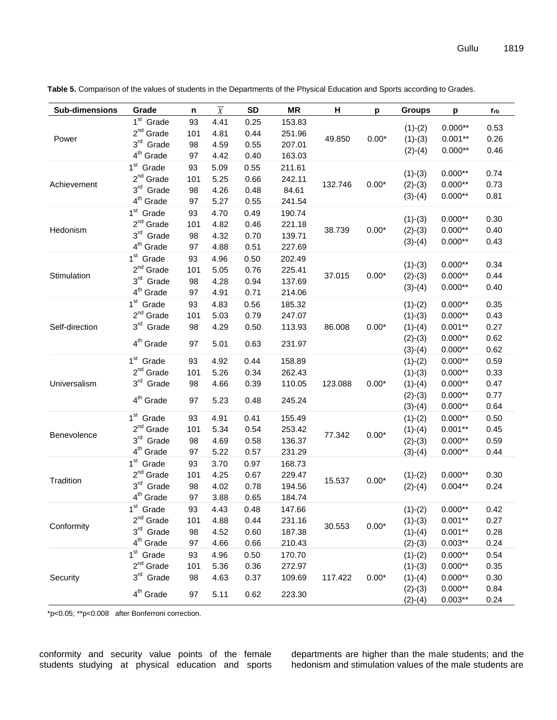| <b>Sub-dimensions</b> | Grade                                      | n         | $\overline{X}$ | <b>SD</b>    | <b>MR</b>        | н       | p       | <b>Groups</b>          | p                      | $r_{rb}$     |
|-----------------------|--------------------------------------------|-----------|----------------|--------------|------------------|---------|---------|------------------------|------------------------|--------------|
|                       | 1 <sup>st</sup><br>Grade                   | 93        | 4.41           | 0.25         | 153.83           |         |         |                        |                        |              |
|                       | $2^{nd}$ Grade                             | 101       | 4.81           | 0.44         | 251.96           | 49.850  |         | $(1)-(2)$              | $0.000**$<br>$0.001**$ | 0.53<br>0.26 |
| Power                 | $3^{\text{rd}}$<br>Grade                   | 98        | 4.59           | 0.55         | 207.01           |         | $0.00*$ | $(1)-(3)$              | $0.000**$              | 0.46         |
|                       | 4 <sup>th</sup> Grade                      | 97        | 4.42           | 0.40         | 163.03           |         |         | $(2)-(4)$              |                        |              |
|                       | 1 <sup>st</sup><br>Grade                   | 93        | 5.09           | 0.55         | 211.61           |         |         |                        | $0.000**$              | 0.74         |
| Achievement           | $2^{nd}$ Grade                             | 101       | 5.25           | 0.66         | 242.11           | 132.746 | $0.00*$ | $(1)-(3)$              | $0.000**$              | 0.73         |
|                       | $3^{\text{rd}}$<br>Grade                   | 98        | 4.26           | 0.48         | 84.61            |         |         | $(2)-(3)$<br>$(3)-(4)$ | $0.000**$              | 0.81         |
|                       | $4th$ Grade                                | 97        | 5.27           | 0.55         | 241.54           |         |         |                        |                        |              |
|                       | 1 <sup>st</sup><br>Grade                   | 93        | 4.70           | 0.49         | 190.74           |         |         | $(1)-(3)$              | $0.000**$              | 0.30         |
| Hedonism              | $2^{nd}$ Grade                             | 101       | 4.82           | 0.46         | 221.18           | 38.739  | $0.00*$ | $(2)-(3)$              | $0.000**$              | 0.40         |
|                       | 3 <sup>rd</sup><br>Grade                   | 98        | 4.32           | 0.70         | 139.71           |         |         | $(3)-(4)$              | $0.000**$              | 0.43         |
|                       | $4^{th}$ Grade                             | 97        | 4.88           | 0.51         | 227.69           |         |         |                        |                        |              |
|                       | 1 <sup>st</sup><br>Grade                   | 93        | 4.96           | 0.50         | 202.49           |         |         | $(1)-(3)$              | $0.000**$              | 0.34         |
| Stimulation           | $2^{nd}$ Grade                             | 101       | 5.05           | 0.76         | 225.41           | 37.015  | $0.00*$ | $(2)-(3)$              | $0.000**$              | 0.44         |
|                       | $3rd$ Grade                                | 98        | 4.28           | 0.94         | 137.69           |         |         | $(3)-(4)$              | $0.000**$              | 0.40         |
|                       | $4th$ Grade                                | 97        | 4.91           | 0.71         | 214.06           |         |         |                        |                        |              |
| Self-direction        | $1st$ Grade                                | 93        | 4.83           | 0.56         | 185.32           |         | $0.00*$ | $(1)-(2)$              | $0.000**$              | 0.35         |
|                       | $2^{nd}$ Grade                             | 101       | 5.03           | 0.79         | 247.07           |         |         | $(1)-(3)$              | $0.000**$              | 0.43         |
|                       | 3 <sup>rd</sup><br>Grade                   | 98        | 4.29           | 0.50         | 113.93           | 86.008  |         | $(1)-(4)$              | $0.001**$              | 0.27         |
|                       | $4th$ Grade                                | 97        | 5.01           | 0.63         | 231.97           |         |         | $(2)-(3)$              | $0.000**$              | 0.62         |
|                       |                                            |           |                |              |                  |         |         | $(3)-(4)$              | $0.000**$              | 0.62         |
|                       | $1st$ Grade                                | 93        | 4.92           | 0.44         | 158.89           |         |         | $(1)-(2)$              | $0.000**$              | 0.59         |
|                       | $2^{nd}$ Grade                             | 101       | 5.26           | 0.34         | 262.43           |         |         | $(1)-(3)$              | $0.000**$              | 0.33         |
| Universalism          | 3 <sup>rd</sup><br>Grade                   | 98        | 4.66           | 0.39         | 110.05           | 123.088 | $0.00*$ | $(1)-(4)$              | $0.000**$              | 0.47         |
|                       | 4 <sup>th</sup> Grade                      | 97        | 5.23           | 0.48         | 245.24           |         |         | $(2)-(3)$              | $0.000**$              | 0.77         |
|                       |                                            |           |                |              |                  |         |         | $(3)-(4)$              | $0.000**$              | 0.64         |
|                       | $1st$ Grade<br>$2^{nd}$ Grade              | 93        | 4.91           | 0.41         | 155.49           |         | $0.00*$ | $(1)-(2)$              | $0.000**$              | 0.50         |
| Benevolence           | $3^{\text{rd}}$                            | 101       | 5.34           | 0.54         | 253.42           | 77.342  |         | $(1)-(4)$              | $0.001**$              | 0.45         |
|                       | Grade                                      | 98        | 4.69           | 0.58         | 136.37           |         |         | $(2)-(3)$              | $0.000**$              | 0.59         |
|                       | $4^{th}$ Grade<br>1 <sup>st</sup><br>Grade | 97        | 5.22           | 0.57         | 231.29           |         |         | $(3)-(4)$              | $0.000**$              | 0.44         |
|                       | $2^{nd}$ Grade                             | 93<br>101 | 3.70<br>4.25   | 0.97<br>0.67 | 168.73<br>229.47 |         |         |                        | $0.000**$              | 0.30         |
| Tradition             | 3 <sup>rd</sup><br>Grade                   | 98        | 4.02           | 0.78         | 194.56           | 15.537  | $0.00*$ | $(1)-(2)$              | $0.004**$              | 0.24         |
|                       | $4^{th}$ Grade                             | 97        | 3.88           | 0.65         | 184.74           |         |         | $(2)-(4)$              |                        |              |
|                       | 1 <sup>st</sup> Grade                      | 93        | 4.43           | 0.48         | 147.66           |         |         | $(1)-(2)$              | $0.000**$              | 0.42         |
|                       | $2^{nd}$ Grade                             | 101       | 4.88           | 0.44         | 231.16           |         |         | $(1)-(3)$              | $0.001**$              | 0.27         |
| Conformity            | $3rd$ Grade                                | 98        | 4.52           | 0.60         | 187.38           | 30.553  | $0.00*$ | $(1)-(4)$              | $0.001***$             | 0.28         |
|                       | 4 <sup>th</sup> Grade                      | 97        | 4.66           | 0.66         | 210.43           |         |         | $(2)-(3)$              | $0.003**$              | 0.24         |
|                       | $1st$ Grade                                | 93        | 4.96           | 0.50         | 170.70           |         |         | $(1)-(2)$              | $0.000**$              | 0.54         |
|                       | $2^{nd}$ Grade                             | 101       | 5.36           | 0.36         | 272.97           |         |         | $(1)-(3)$              | $0.000**$              | 0.35         |
| Security              | $3^{\text{rd}}$<br>Grade                   | 98        | 4.63           | 0.37         | 109.69           | 117.422 | $0.00*$ | $(1)-(4)$              | $0.000**$              | 0.30         |
|                       |                                            |           |                |              |                  |         |         | $(2)-(3)$              | $0.000**$              | 0.84         |
|                       | 4 <sup>th</sup> Grade                      | 97        | 5.11           | 0.62         | 223.30           |         |         | $(2)-(4)$              | $0.003**$              | 0.24         |
|                       |                                            |           |                |              |                  |         |         |                        |                        |              |

**Table 5.** Comparison of the values of students in the Departments of the Physical Education and Sports according to Grades.

\*p<0.05; \*\*p<0.008 after Bonferroni correction.

conformity and security value points of the female students studying at physical education and sports departments are higher than the male students; and the hedonism and stimulation values of the male students are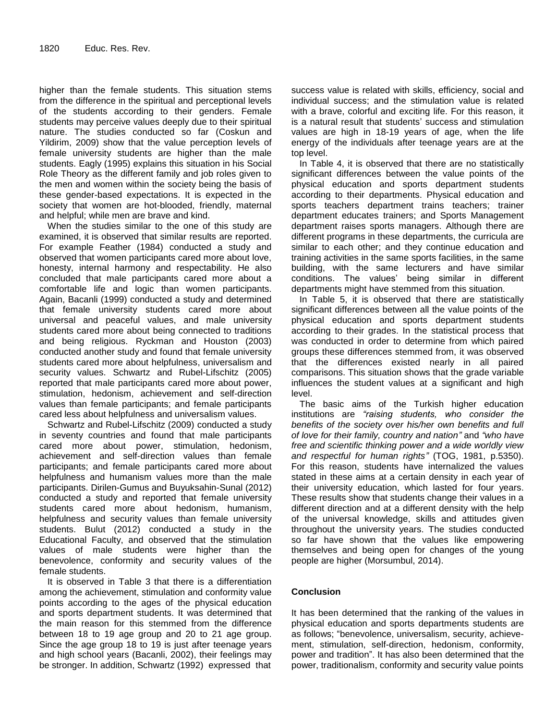higher than the female students. This situation stems from the difference in the spiritual and perceptional levels of the students according to their genders. Female students may perceive values deeply due to their spiritual nature. The studies conducted so far (Coskun and Yildirim, 2009) show that the value perception levels of female university students are higher than the male students. Eagly (1995) explains this situation in his Social Role Theory as the different family and job roles given to the men and women within the society being the basis of these gender-based expectations. It is expected in the society that women are hot-blooded, friendly, maternal and helpful; while men are brave and kind.

When the studies similar to the one of this study are examined, it is observed that similar results are reported. For example Feather (1984) conducted a study and observed that women participants cared more about love, honesty, internal harmony and respectability. He also concluded that male participants cared more about a comfortable life and logic than women participants. Again, Bacanli (1999) conducted a study and determined that female university students cared more about universal and peaceful values, and male university students cared more about being connected to traditions and being religious. Ryckman and Houston (2003) conducted another study and found that female university students cared more about helpfulness, universalism and security values. Schwartz and Rubel-Lifschitz (2005) reported that male participants cared more about power, stimulation, hedonism, achievement and self-direction values than female participants; and female participants cared less about helpfulness and universalism values.

Schwartz and Rubel-Lifschitz (2009) conducted a study in seventy countries and found that male participants cared more about power, stimulation, hedonism, achievement and self-direction values than female participants; and female participants cared more about helpfulness and humanism values more than the male participants. Dirilen-Gumus and Buyuksahin-Sunal (2012) conducted a study and reported that female university students cared more about hedonism, humanism, helpfulness and security values than female university students. Bulut (2012) conducted a study in the Educational Faculty, and observed that the stimulation values of male students were higher than the benevolence, conformity and security values of the female students.

It is observed in Table 3 that there is a differentiation among the achievement, stimulation and conformity value points according to the ages of the physical education and sports department students. It was determined that the main reason for this stemmed from the difference between 18 to 19 age group and 20 to 21 age group. Since the age group 18 to 19 is just after teenage years and high school years (Bacanli, 2002), their feelings may be stronger. In addition, Schwartz (1992) expressed that success value is related with skills, efficiency, social and individual success; and the stimulation value is related with a brave, colorful and exciting life. For this reason, it is a natural result that students' success and stimulation values are high in 18-19 years of age, when the life energy of the individuals after teenage years are at the top level.

In Table 4, it is observed that there are no statistically significant differences between the value points of the physical education and sports department students according to their departments. Physical education and sports teachers department trains teachers; trainer department educates trainers; and Sports Management department raises sports managers. Although there are different programs in these departments, the curricula are similar to each other; and they continue education and training activities in the same sports facilities, in the same building, with the same lecturers and have similar conditions. The values' being similar in different departments might have stemmed from this situation.

In Table 5, it is observed that there are statistically significant differences between all the value points of the physical education and sports department students according to their grades. In the statistical process that was conducted in order to determine from which paired groups these differences stemmed from, it was observed that the differences existed nearly in all paired comparisons. This situation shows that the grade variable influences the student values at a significant and high level.

The basic aims of the Turkish higher education institutions are *"raising students, who consider the benefits of the society over his/her own benefits and full of love for their family, country and nation"* and *"who have free and scientific thinking power and a wide worldly view and respectful for human rights"* (TOG, 1981, p.5350). For this reason, students have internalized the values stated in these aims at a certain density in each year of their university education, which lasted for four years. These results show that students change their values in a different direction and at a different density with the help of the universal knowledge, skills and attitudes given throughout the university years. The studies conducted so far have shown that the values like empowering themselves and being open for changes of the young people are higher (Morsumbul, 2014).

## **Conclusion**

It has been determined that the ranking of the values in physical education and sports departments students are as follows; "benevolence, universalism, security, achievement, stimulation, self-direction, hedonism, conformity, power and tradition". It has also been determined that the power, traditionalism, conformity and security value points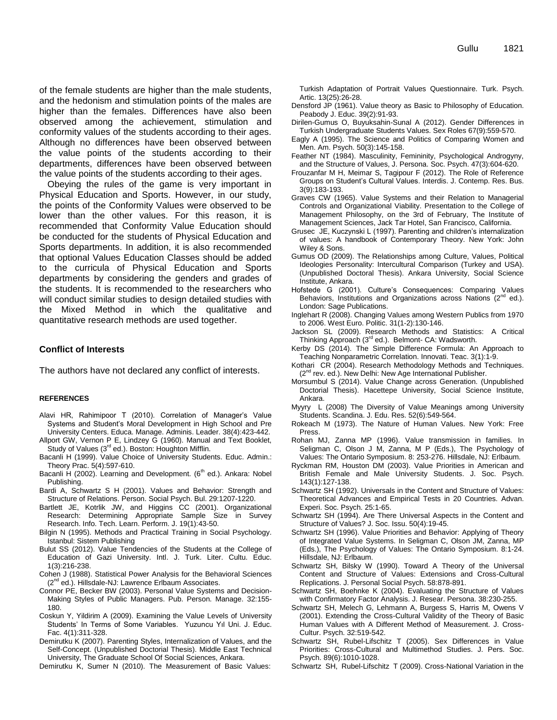of the female students are higher than the male students, and the hedonism and stimulation points of the males are higher than the females. Differences have also been observed among the achievement, stimulation and conformity values of the students according to their ages. Although no differences have been observed between the value points of the students according to their departments, differences have been observed between the value points of the students according to their ages.

Obeying the rules of the game is very important in Physical Education and Sports. However, in our study, the points of the Conformity Values were observed to be lower than the other values. For this reason, it is recommended that Conformity Value Education should be conducted for the students of Physical Education and Sports departments. In addition, it is also recommended that optional Values Education Classes should be added to the curricula of Physical Education and Sports departments by considering the genders and grades of the students. It is recommended to the researchers who will conduct similar studies to design detailed studies with the Mixed Method in which the qualitative and quantitative research methods are used together.

#### **Conflict of Interests**

The authors have not declared any conflict of interests.

#### **REFERENCES**

- Alavi HR, Rahimipoor T (2010). Correlation of Manager's Value Systems and Student's Moral Development in High School and Pre University Centers. Educa. Manage. Adminis. Leader. 38(4):423-442.
- Allport GW, Vernon P E, Lindzey G (1960). Manual and Text Booklet, Study of Values (3<sup>rd</sup> ed.). Boston: Houghton Mifflin.
- Bacanli H (1999). Value Choice of University Students. Educ. Admin.: Theory Prac. 5(4):597-610.
- Bacanli H (2002). Learning and Development. (6<sup>th</sup> ed.). Ankara: Nobel Publishing.
- Bardi A, Schwartz S H (2001). Values and Behavior: Strength and Structure of Relations. Person. Social Psych. Bul. 29:1207-1220.
- Bartlett JE, Kotrlik JW, and Higgins CC (2001). Organizational Research: Determining Appropriate Sample Size in Survey Research. Info. Tech. Learn. Perform. J. 19(1):43-50.
- Bilgin N (1995). Methods and Practical Training in Social Psychology. Istanbul: Sistem Publishing
- Bulut SS (2012). Value Tendencies of the Students at the College of Education of Gazi University. Intl. J. Turk. Liter. Cultu. Educ. 1(3):216-238.
- Cohen J (1988). Statistical Power Analysis for the Behavioral Sciences (2<sup>nd</sup> ed.). Hillsdale-NJ: Lawrence Erlbaum Associates.
- Connor PE, Becker BW (2003). Personal Value Systems and Decision-Making Styles of Public Managers. Pub. Person. Manage. 32:155- 180.
- Coskun Y, Yildirim A (2009). Examining the Value Levels of University Students' In Terms of Some Variables. Yuzuncu Yıl Uni. J. Educ. Fac. 4(1):311-328.
- Demirutku K (2007). Parenting Styles, Internalization of Values, and the Self-Concept. (Unpublished Doctorial Thesis). Middle East Technical University, The Graduate School Of Social Sciences, Ankara.

Demirutku K, Sumer N (2010). The Measurement of Basic Values:

Turkish Adaptation of Portrait Values Questionnaire. Turk. Psych. Artic. 13(25):26-28.

- Densford JP (1961). Value theory as Basic to Philosophy of Education. Peabody J. Educ. 39(2):91-93.
- Dirilen-Gumus O, Buyuksahin-Sunal A (2012). Gender Differences in Turkish Undergraduate Students Values. Sex Roles 67(9):559-570.
- Eagly A (1995). The Science and Politics of Comparing Women and Men. Am. Psych. 50(3):145-158.
- Feather NT (1984). Masculinity, Femininity, Psychological Androgyny, and the Structure of Values, J. Persona. Soc. Psych. 47(3):604-620.
- Frouzanfar M H, Meimar S, Tagipour F (2012). The Role of Reference Groups on Student's Cultural Values. Interdis. J. Contemp. Res. Bus. 3(9):183-193.
- Graves CW (1965). Value Systems and their Relation to Managerial Controls and Organizational Viability. Presentation to the College of Management Philosophy, on the 3rd of February, The Institute of Management Sciences, Jack Tar Hotel, San Francisco, California.
- Grusec JE, Kuczynski L (1997). Parenting and children's internalization of values: A handbook of Contemporary Theory. New York: John Wiley & Sons.
- Gumus OD (2009). The Relationships among Culture, Values, Political Ideologies Personality: Intercultural Comparison (Turkey and USA). (Unpublished Doctoral Thesis). Ankara University, Social Science Institute, Ankara.
- Hofstede G (2001). Culture's Consequences: Comparing Values Behaviors, Institutions and Organizations across Nations  $(2^{nd}$  ed.). London: Sage Publications.
- Inglehart R (2008). Changing Values among Western Publics from 1970 to 2006. West Euro. Politic. 31(1-2):130-146.
- Jackson SL (2009). Research Methods and Statistics: A Critical Thinking Approach (3<sup>rd</sup> ed.). Belmont- CA: Wadsworth.
- Kerby DS (2014). The Simple Difference Formula: An Approach to Teaching Nonparametric Correlation. Innovati. Teac. 3(1):1-9.
- Kothari CR (2004). Research Methodology Methods and Techniques. (2<sup>nd</sup> rev. ed.). New Delhi: New Age International Publisher.
- Morsumbul S (2014). Value Change across Generation. (Unpublished Doctorial Thesis). Hacettepe University, Social Science Institute, Ankara.
- Myyry L (2008) The Diversity of Value Meanings among University Students. Scandina. J. Edu. Res. 52(6):549-564.
- Rokeach M (1973). The Nature of Human Values. New York: Free Press.
- Rohan MJ, Zanna MP (1996). Value transmission in families. In Seligman C, Olson J M, Zanna, M P (Eds.), The Psychology of Values: The Ontario Symposium. 8: 253-276. Hillsdale, NJ: Erlbaum.
- Ryckman RM, Houston DM (2003). Value Priorities in American and British Female and Male University Students. J. Soc. Psych. 143(1):127-138.
- Schwartz SH (1992). Universals in the Content and Structure of Values: Theoretical Advances and Empirical Tests in 20 Countries. Advan. Experi. Soc. Psych. 25:1-65.
- Schwartz SH (1994). Are There Universal Aspects in the Content and Structure of Values? J. Soc. Issu. 50(4):19-45.
- Schwartz SH (1996). Value Priorities and Behavior: Applying of Theory of Integrated Value Systems. In Seligman C, Olson JM, Zanna, MP (Eds.), The Psychology of Values: The Ontario Symposium. 8:1-24. Hillsdale, NJ: Erlbaum.
- Schwartz SH, Bilsky W (1990). Toward A Theory of the Universal Content and Structure of Values: Extensions and Cross-Cultural Replications. J. Personal Social Psych. 58:878-891.
- Schwartz SH, Boehnke K (2004). Evaluating the Structure of Values with Confirmatory Factor Analysis. J. Resear. Persona. 38:230-255.
- Schwartz SH, Melech G, Lehmann A, Burgess S, Harris M, Owens V (2001). Extending the Cross-Cultural Validity of the Theory of Basic Human Values with A Different Method of Measurement. J. Cross-Cultur. Psych. 32:519-542.
- Schwartz SH, Rubel-Lifschitz T (2005). Sex Differences in Value Priorities: Cross-Cultural and Multimethod Studies. J. Pers. Soc. Psych. 89(6):1010-1028.
- Schwartz SH, Rubel-Lifschitz T (2009). Cross-National Variation in the